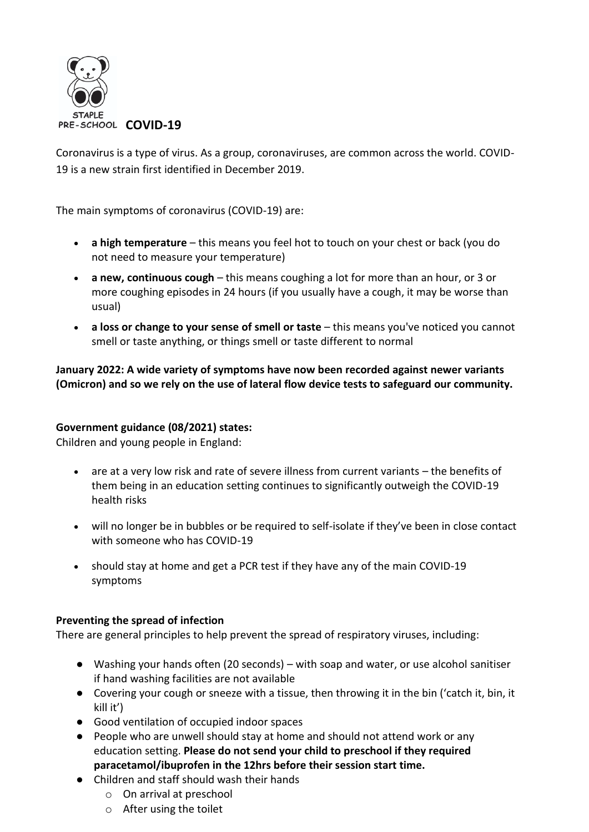

Coronavirus is a type of virus. As a group, coronaviruses, are common across the world. COVID-19 is a new strain first identified in December 2019.

The main symptoms of coronavirus (COVID-19) are:

- **a high temperature** this means you feel hot to touch on your chest or back (you do not need to measure your temperature)
- **a new, continuous cough** this means coughing a lot for more than an hour, or 3 or more coughing episodes in 24 hours (if you usually have a cough, it may be worse than usual)
- **a loss or change to your sense of smell or taste** this means you've noticed you cannot smell or taste anything, or things smell or taste different to normal

**January 2022: A wide variety of symptoms have now been recorded against newer variants (Omicron) and so we rely on the use of lateral flow device tests to safeguard our community.** 

### **Government guidance (08/2021) states:**

Children and young people in England:

- are at a very low risk and rate of severe illness from current variants the benefits of them being in an education setting continues to significantly outweigh the COVID-19 health risks
- will no longer be in bubbles or be required to self-isolate if they've been in close contact with someone who has COVID-19
- should stay at home and get a PCR test if they have any of the main COVID-19 symptoms

### **Preventing the spread of infection**

There are general principles to help prevent the spread of respiratory viruses, including:

- Washing your hands often (20 seconds) with soap and water, or use alcohol sanitiser if hand washing facilities are not available
- Covering your cough or sneeze with a tissue, then throwing it in the bin ('catch it, bin, it kill it')
- Good ventilation of occupied indoor spaces
- People who are unwell should stay at home and should not attend work or any education setting. **Please do not send your child to preschool if they required paracetamol/ibuprofen in the 12hrs before their session start time.**
- Children and staff should wash their hands
	- o On arrival at preschool
	- o After using the toilet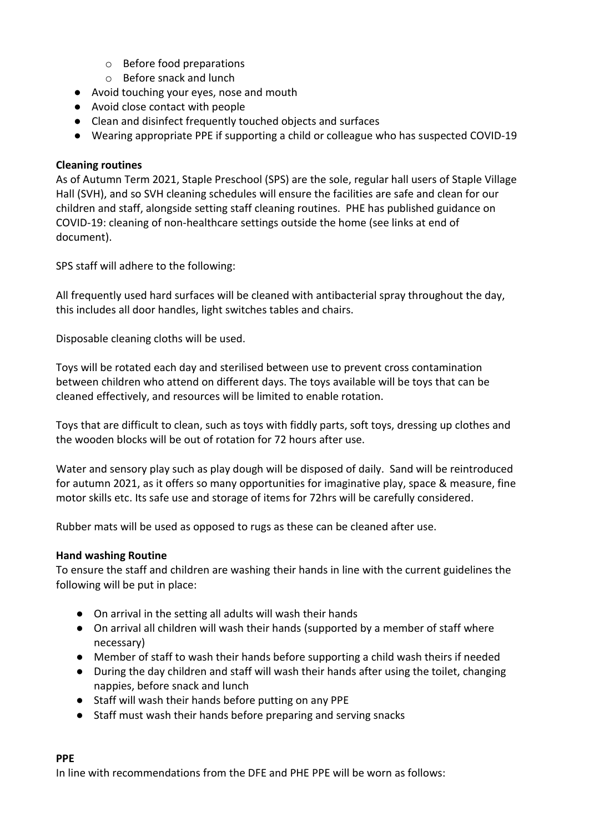- o Before food preparations
- o Before snack and lunch
- Avoid touching your eyes, nose and mouth
- Avoid close contact with people
- Clean and disinfect frequently touched objects and surfaces
- Wearing appropriate PPE if supporting a child or colleague who has suspected COVID-19

#### **Cleaning routines**

As of Autumn Term 2021, Staple Preschool (SPS) are the sole, regular hall users of Staple Village Hall (SVH), and so SVH cleaning schedules will ensure the facilities are safe and clean for our children and staff, alongside setting staff cleaning routines. PHE has published guidance on COVID-19: cleaning of non-healthcare settings outside the home (see links at end of document).

SPS staff will adhere to the following:

All frequently used hard surfaces will be cleaned with antibacterial spray throughout the day, this includes all door handles, light switches tables and chairs.

Disposable cleaning cloths will be used.

Toys will be rotated each day and sterilised between use to prevent cross contamination between children who attend on different days. The toys available will be toys that can be cleaned effectively, and resources will be limited to enable rotation.

Toys that are difficult to clean, such as toys with fiddly parts, soft toys, dressing up clothes and the wooden blocks will be out of rotation for 72 hours after use.

Water and sensory play such as play dough will be disposed of daily. Sand will be reintroduced for autumn 2021, as it offers so many opportunities for imaginative play, space & measure, fine motor skills etc. Its safe use and storage of items for 72hrs will be carefully considered.

Rubber mats will be used as opposed to rugs as these can be cleaned after use.

#### **Hand washing Routine**

To ensure the staff and children are washing their hands in line with the current guidelines the following will be put in place:

- On arrival in the setting all adults will wash their hands
- On arrival all children will wash their hands (supported by a member of staff where necessary)
- Member of staff to wash their hands before supporting a child wash theirs if needed
- During the day children and staff will wash their hands after using the toilet, changing nappies, before snack and lunch
- Staff will wash their hands before putting on any PPE
- Staff must wash their hands before preparing and serving snacks

#### **PPE**

In line with recommendations from the DFE and PHE PPE will be worn as follows: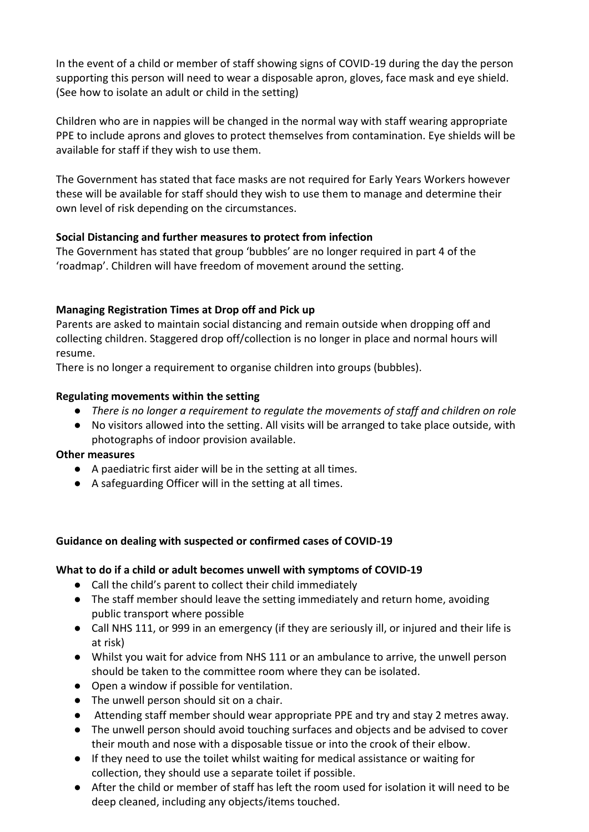In the event of a child or member of staff showing signs of COVID-19 during the day the person supporting this person will need to wear a disposable apron, gloves, face mask and eye shield. (See how to isolate an adult or child in the setting)

Children who are in nappies will be changed in the normal way with staff wearing appropriate PPE to include aprons and gloves to protect themselves from contamination. Eye shields will be available for staff if they wish to use them.

The Government has stated that face masks are not required for Early Years Workers however these will be available for staff should they wish to use them to manage and determine their own level of risk depending on the circumstances.

### **Social Distancing and further measures to protect from infection**

The Government has stated that group 'bubbles' are no longer required in part 4 of the 'roadmap'. Children will have freedom of movement around the setting.

# **Managing Registration Times at Drop off and Pick up**

Parents are asked to maintain social distancing and remain outside when dropping off and collecting children. Staggered drop off/collection is no longer in place and normal hours will resume.

There is no longer a requirement to organise children into groups (bubbles).

### **Regulating movements within the setting**

- *There is no longer a requirement to regulate the movements of staff and children on role*
- No visitors allowed into the setting. All visits will be arranged to take place outside, with photographs of indoor provision available.

### **Other measures**

- A paediatric first aider will be in the setting at all times.
- A safeguarding Officer will in the setting at all times.

### **Guidance on dealing with suspected or confirmed cases of COVID-19**

### **What to do if a child or adult becomes unwell with symptoms of COVID-19**

- Call the child's parent to collect their child immediately
- The staff member should leave the setting immediately and return home, avoiding public transport where possible
- Call NHS 111, or 999 in an emergency (if they are seriously ill, or injured and their life is at risk)
- Whilst you wait for advice from NHS 111 or an ambulance to arrive, the unwell person should be taken to the committee room where they can be isolated.
- Open a window if possible for ventilation.
- The unwell person should sit on a chair.
- Attending staff member should wear appropriate PPE and try and stay 2 metres away.
- The unwell person should avoid touching surfaces and objects and be advised to cover their mouth and nose with a disposable tissue or into the crook of their elbow.
- If they need to use the toilet whilst waiting for medical assistance or waiting for collection, they should use a separate toilet if possible.
- After the child or member of staff has left the room used for isolation it will need to be deep cleaned, including any objects/items touched.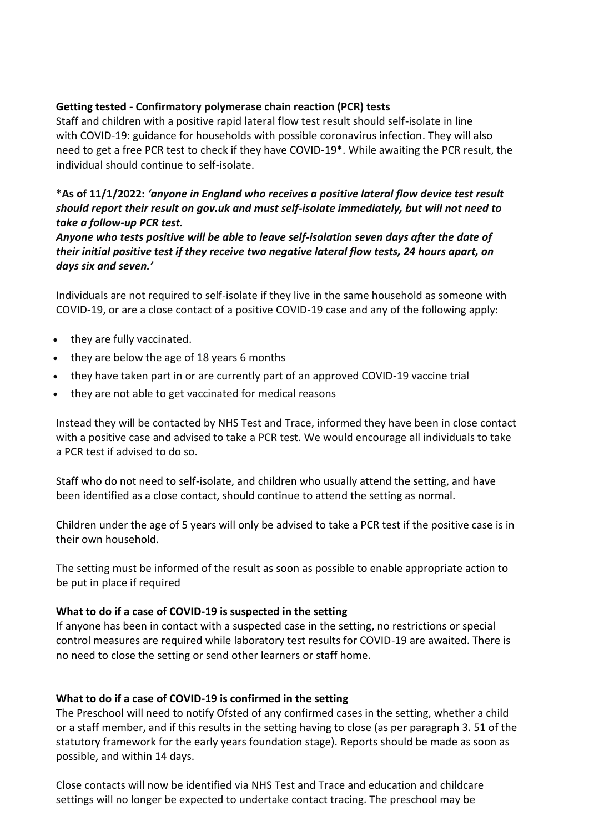### **Getting tested - Confirmatory polymerase chain reaction (PCR) tests**

Staff and children with a positive rapid lateral flow test result should self-isolate in line with [COVID-19: guidance for households with possible coronavirus infection.](https://www.gov.uk/government/publications/covid-19-stay-at-home-guidance) They will also need to [get a free](https://www.gov.uk/get-coronavirus-test) PCR test to check if they have COVID-19\*. While awaiting the PCR result, the individual should continue to self-isolate.

### **\*As of 11/1/2022:** *'anyone in England who receives a positive lateral flow device test result should report their result on gov.uk and must self-isolate immediately, but will not need to take a follow-up PCR test.*

*Anyone who tests positive will be able to leave self-isolation seven days after the date of their initial positive test if they receive two negative lateral flow tests, 24 hours apart, on days six and seven.'* 

Individuals are not required to self-isolate if they live in the same household as someone with COVID-19, or are a close contact of a positive COVID-19 case and any of the following apply:

- they are fully vaccinated.
- they are below the age of 18 years 6 months
- they have taken part in or are currently part of an approved COVID-19 vaccine trial
- they are not able to get vaccinated for medical reasons

Instead they will be contacted by NHS Test and Trace, informed they have been in close contact with a positive case and advised to take a PCR test. We would encourage all individuals to take a PCR test if advised to do so.

Staff who do not need to self-isolate, and children who usually attend the setting, and have been identified as a close contact, should continue to attend the setting as normal.

Children under the age of 5 years will only be advised to take a PCR test if the positive case is in their own household.

The setting must be informed of the result as soon as possible to enable appropriate action to be put in place if required

#### **What to do if a case of COVID-19 is suspected in the setting**

If anyone has been in contact with a suspected case in the setting, no restrictions or special control measures are required while laboratory test results for COVID-19 are awaited. There is no need to close the setting or send other learners or staff home.

#### **What to do if a case of COVID-19 is confirmed in the setting**

The Preschool will need to notify Ofsted of any confirmed cases in the setting, whether a child or a staff member, and if this results in the setting having to close (as per paragraph 3. 51 of the statutory framework for the early years foundation stage). Reports should be made as soon as possible, and within 14 days.

Close contacts will now be identified via NHS Test and Trace and education and childcare settings will no longer be expected to undertake contact tracing. The preschool may be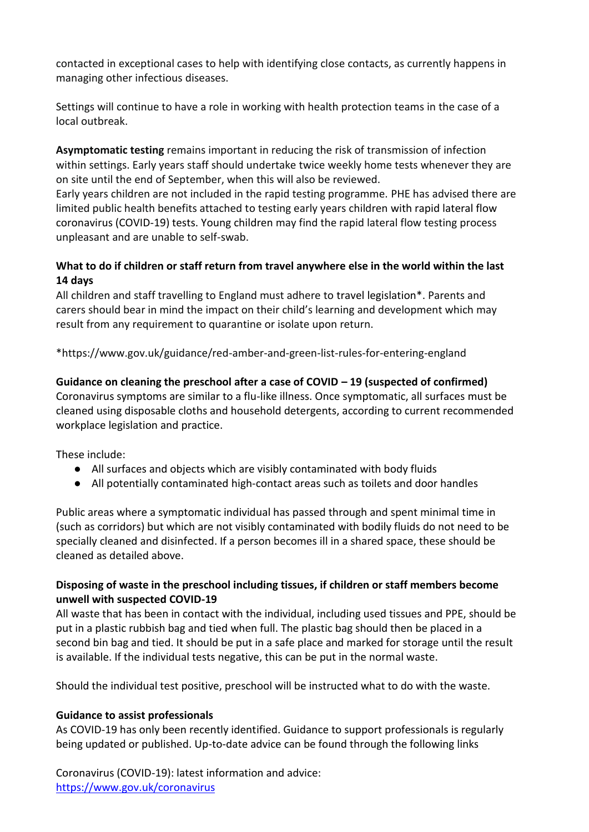contacted in exceptional cases to help with identifying close contacts, as currently happens in managing other infectious diseases.

Settings will continue to have a role in working with health protection teams in the case of a local outbreak.

**Asymptomatic testing** remains important in reducing the risk of transmission of infection within settings. Early years staff should undertake twice weekly home tests whenever they are on site until the end of September, when this will also be reviewed.

Early years children are not included in the rapid testing programme. PHE has advised there are limited public health benefits attached to testing early years children with [rapid lateral flow](https://www.nhs.uk/conditions/coronavirus-covid-19/testing/regular-rapid-coronavirus-tests-if-you-do-not-have-symptoms/)  [coronavirus \(COVID-19\) tests.](https://www.nhs.uk/conditions/coronavirus-covid-19/testing/regular-rapid-coronavirus-tests-if-you-do-not-have-symptoms/) Young children may find the rapid lateral flow testing process unpleasant and are unable to self-swab.

# **What to do if children or staff return from travel anywhere else in the world within the last 14 days**

All children and staff travelling to England must adhere to [travel legislation\\*](https://www.legislation.gov.uk/uksi/2021/582/contents). Parents and carers should bear in mind the impact on their child's learning and development which may result from any requirement to quarantine or isolate upon return.

\*https://www.gov.uk/guidance/red-amber-and-green-list-rules-for-entering-england

# **Guidance on cleaning the preschool after a case of COVID – 19 (suspected of confirmed)**

Coronavirus symptoms are similar to a flu-like illness. Once symptomatic, all surfaces must be cleaned using disposable cloths and household detergents, according to current recommended workplace legislation and practice.

These include:

- All surfaces and objects which are visibly contaminated with body fluids
- All potentially contaminated high-contact areas such as toilets and door handles

Public areas where a symptomatic individual has passed through and spent minimal time in (such as corridors) but which are not visibly contaminated with bodily fluids do not need to be specially cleaned and disinfected. If a person becomes ill in a shared space, these should be cleaned as detailed above.

# **Disposing of waste in the preschool including tissues, if children or staff members become unwell with suspected COVID-19**

All waste that has been in contact with the individual, including used tissues and PPE, should be put in a plastic rubbish bag and tied when full. The plastic bag should then be placed in a second bin bag and tied. It should be put in a safe place and marked for storage until the result is available. If the individual tests negative, this can be put in the normal waste.

Should the individual test positive, preschool will be instructed what to do with the waste.

### **Guidance to assist professionals**

As COVID-19 has only been recently identified. Guidance to support professionals is regularly being updated or published. Up-to-date advice can be found through the following links

Coronavirus (COVID-19): latest information and advice: <https://www.gov.uk/coronavirus>